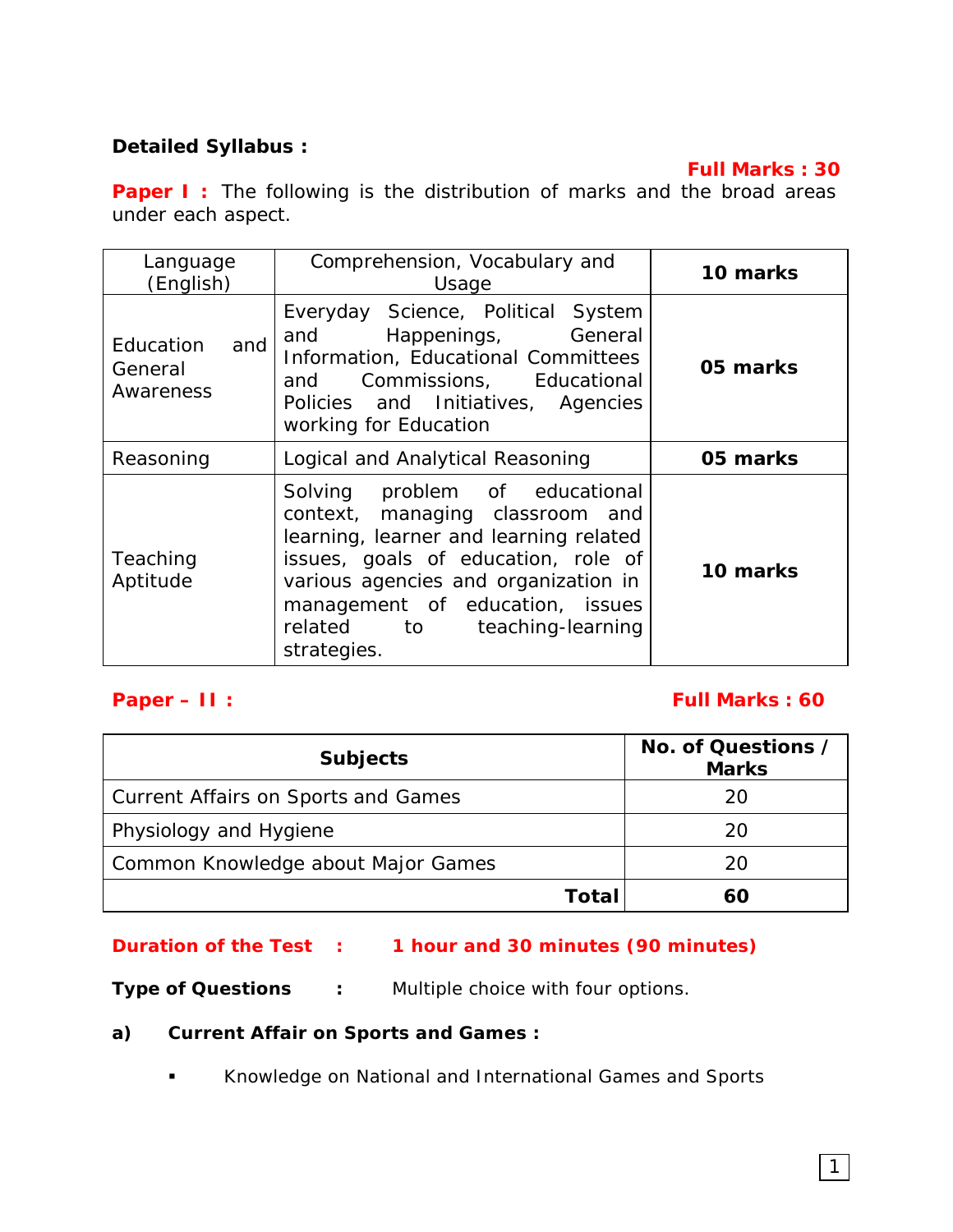# **Detailed Syllabus :**

## **Full Marks : 30**

**Paper I** : The following is the distribution of marks and the broad areas under each aspect.

| Language<br>(English)                    | Comprehension, Vocabulary and<br>Usage                                                                                                                                                                                                                                       | 10 marks |
|------------------------------------------|------------------------------------------------------------------------------------------------------------------------------------------------------------------------------------------------------------------------------------------------------------------------------|----------|
| Education<br>and<br>General<br>Awareness | Everyday Science, Political System<br>Happenings, General<br>and<br>Information, Educational Committees<br>and<br>Commissions, Educational<br>Policies and Initiatives, Agencies<br>working for Education                                                                    | 05 marks |
| Reasoning                                | Logical and Analytical Reasoning                                                                                                                                                                                                                                             | 05 marks |
| Teaching<br>Aptitude                     | Solving problem of educational<br>context, managing classroom and<br>learning, learner and learning related<br>issues, goals of education, role of<br>various agencies and organization in<br>management of education, issues<br>related to teaching-learning<br>strategies. | 10 marks |

#### **Paper – II : Full Marks : 60**

| <b>Subjects</b>                            | No. of Questions /<br><b>Marks</b> |
|--------------------------------------------|------------------------------------|
| <b>Current Affairs on Sports and Games</b> | 20                                 |
| Physiology and Hygiene                     | 20                                 |
| Common Knowledge about Major Games         | 20                                 |
| Total                                      |                                    |

## **Duration of the Test : 1 hour and 30 minutes (90 minutes)**

**Type of Questions : Multiple choice with four options.** 

#### **a) Current Affair on Sports and Games :**

**Knowledge on National and International Games and Sports**